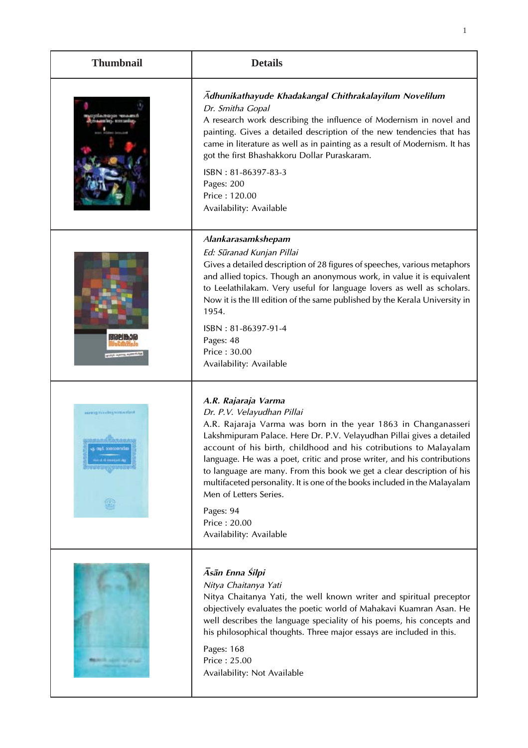| <b>Thumbnail</b>         | <b>Details</b>                                                                                                                                                                                                                                                                                                                                                                                                                                                                                                                                                                         |
|--------------------------|----------------------------------------------------------------------------------------------------------------------------------------------------------------------------------------------------------------------------------------------------------------------------------------------------------------------------------------------------------------------------------------------------------------------------------------------------------------------------------------------------------------------------------------------------------------------------------------|
|                          | Adhunikathayude Khadakangal Chithrakalayilum Novelilum<br>Dr. Smitha Gopal<br>A research work describing the influence of Modernism in novel and<br>painting. Gives a detailed description of the new tendencies that has<br>came in literature as well as in painting as a result of Modernism. It has<br>got the first Bhashakkoru Dollar Puraskaram.<br>ISBN: 81-86397-83-3<br>Pages: 200<br>Price: 120.00<br>Availability: Available                                                                                                                                               |
| 1510217631d              | Alankarasamkshepam<br>Ed: Sūranad Kunjan Pillai<br>Gives a detailed description of 28 figures of speeches, various metaphors<br>and allied topics. Though an anonymous work, in value it is equivalent<br>to Leelathilakam. Very useful for language lovers as well as scholars.<br>Now it is the III edition of the same published by the Kerala University in<br>1954.<br>ISBN: 81-86397-91-4<br>Pages: 48<br>Price: 30.00<br>Availability: Available                                                                                                                                |
| aurant machinerum artein | A.R. Rajaraja Varma<br>Dr. P.V. Velayudhan Pillai<br>A.R. Rajaraja Varma was born in the year 1863 in Changanasseri<br>Lakshmipuram Palace. Here Dr. P.V. Velayudhan Pillai gives a detailed<br>account of his birth, childhood and his cotributions to Malayalam<br>language. He was a poet, critic and prose writer, and his contributions<br>to language are many. From this book we get a clear description of his<br>multifaceted personality. It is one of the books included in the Malayalam<br>Men of Letters Series.<br>Pages: 94<br>Price: 20.00<br>Availability: Available |
| <b>BELLEVILLE STATE</b>  | Āsān Enna Śilpi<br>Nitya Chaitanya Yati<br>Nitya Chaitanya Yati, the well known writer and spiritual preceptor<br>objectively evaluates the poetic world of Mahakavi Kuamran Asan. He<br>well describes the language speciality of his poems, his concepts and<br>his philosophical thoughts. Three major essays are included in this.<br>Pages: 168<br>Price: 25.00<br>Availability: Not Available                                                                                                                                                                                    |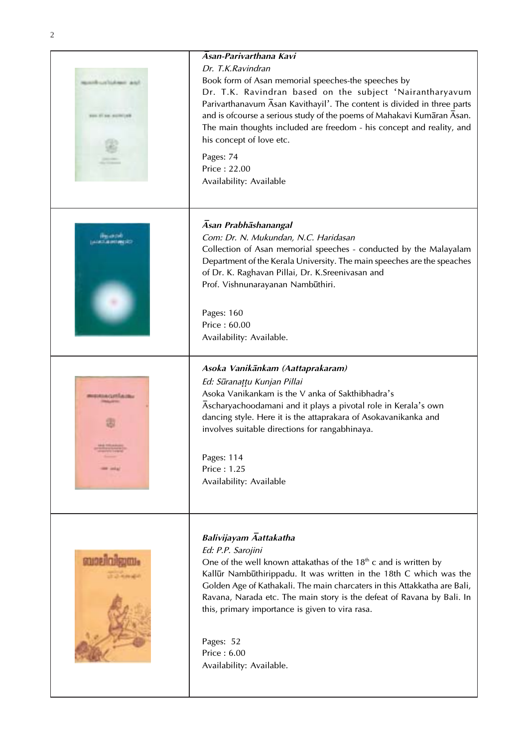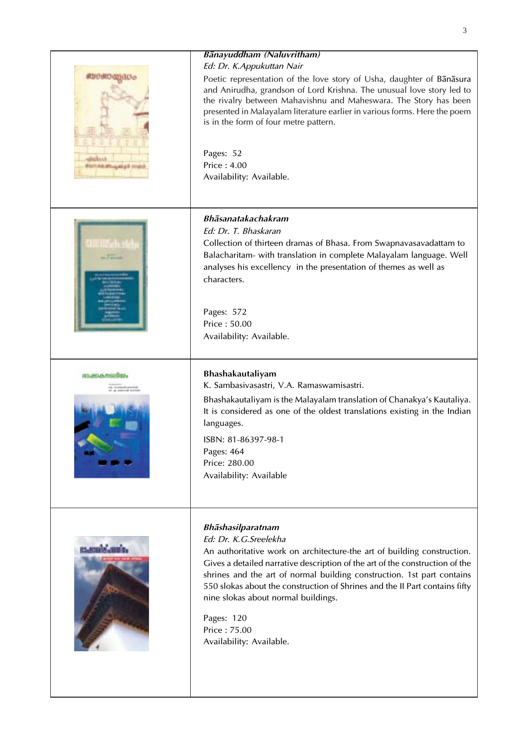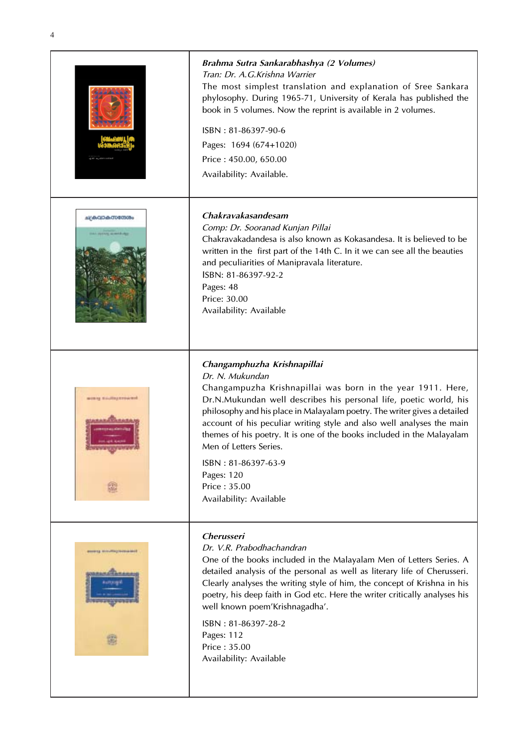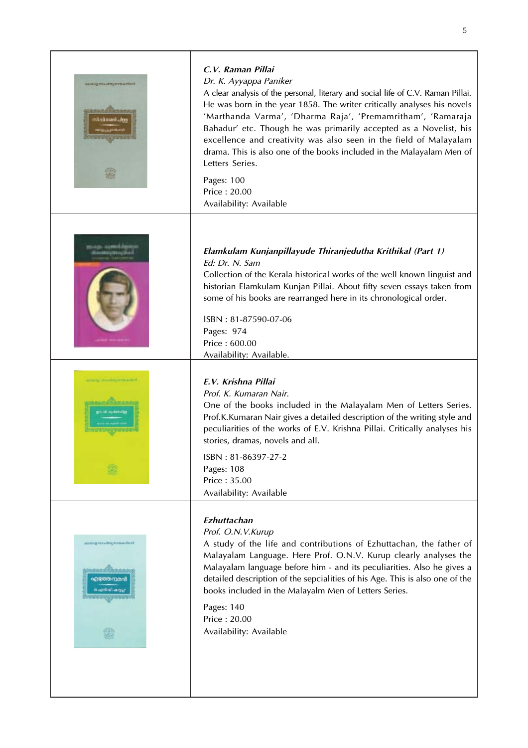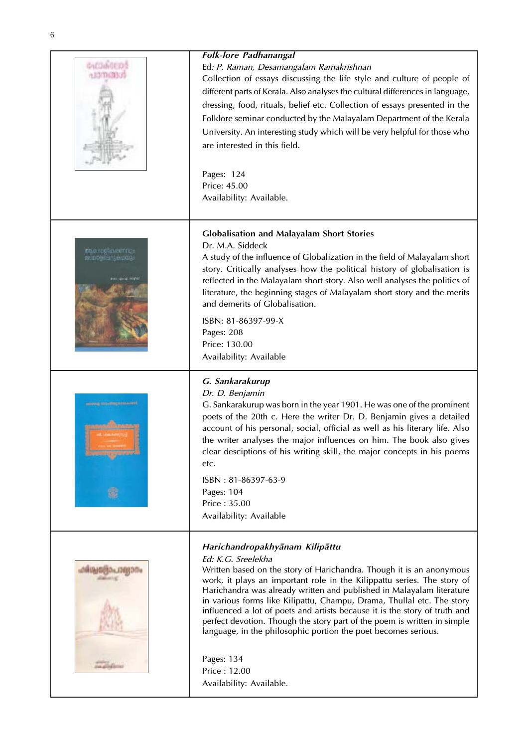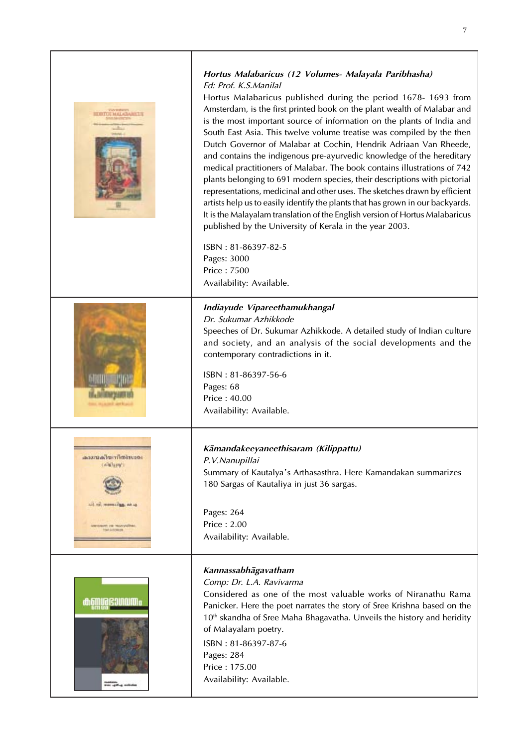| <b>THE HALL</b>                                                                                                      | Hortus Malabaricus (12 Volumes - Malayala Paribhasha)<br>Ed: Prof. K.S.Manilal<br>Hortus Malabaricus published during the period 1678-1693 from<br>Amsterdam, is the first printed book on the plant wealth of Malabar and<br>is the most important source of information on the plants of India and<br>South East Asia. This twelve volume treatise was compiled by the then<br>Dutch Governor of Malabar at Cochin, Hendrik Adriaan Van Rheede,<br>and contains the indigenous pre-ayurvedic knowledge of the hereditary<br>medical practitioners of Malabar. The book contains illustrations of 742<br>plants belonging to 691 modern species, their descriptions with pictorial<br>representations, medicinal and other uses. The sketches drawn by efficient<br>artists help us to easily identify the plants that has grown in our backyards.<br>It is the Malayalam translation of the English version of Hortus Malabaricus<br>published by the University of Kerala in the year 2003.<br>ISBN: 81-86397-82-5<br>Pages: 3000<br>Price: 7500<br>Availability: Available. |
|----------------------------------------------------------------------------------------------------------------------|---------------------------------------------------------------------------------------------------------------------------------------------------------------------------------------------------------------------------------------------------------------------------------------------------------------------------------------------------------------------------------------------------------------------------------------------------------------------------------------------------------------------------------------------------------------------------------------------------------------------------------------------------------------------------------------------------------------------------------------------------------------------------------------------------------------------------------------------------------------------------------------------------------------------------------------------------------------------------------------------------------------------------------------------------------------------------------|
|                                                                                                                      | Indiayude Vipareethamukhangal<br>Dr. Sukumar Azhikkode<br>Speeches of Dr. Sukumar Azhikkode. A detailed study of Indian culture<br>and society, and an analysis of the social developments and the<br>contemporary contradictions in it.<br>ISBN: 81-86397-56-6<br>Pages: 68<br>Price: 40.00<br>Availability: Available.                                                                                                                                                                                                                                                                                                                                                                                                                                                                                                                                                                                                                                                                                                                                                        |
| second chimilato seat<br>collabora")<br>ail nil memasing, an ag<br><b>UTERUM VA TEAVANITIES</b><br><b>TWVARCRASH</b> | Kāmandakeeyaneethisaram (Kilippattu)<br>P.V.Nanupillai<br>Summary of Kautalya's Arthasasthra. Here Kamandakan summarizes<br>180 Sargas of Kautaliya in just 36 sargas.<br>Pages: 264<br>Price: 2.00<br>Availability: Available.                                                                                                                                                                                                                                                                                                                                                                                                                                                                                                                                                                                                                                                                                                                                                                                                                                                 |
| KHATING<br>.<br>His rath-a solicit                                                                                   | Kannassabhāgavatham<br>Comp: Dr. L.A. Ravivarma<br>Considered as one of the most valuable works of Niranathu Rama<br>Panicker. Here the poet narrates the story of Sree Krishna based on the<br>10 <sup>th</sup> skandha of Sree Maha Bhagavatha. Unveils the history and heridity<br>of Malayalam poetry.<br>ISBN: 81-86397-87-6<br>Pages: 284<br>Price: 175.00<br>Availability: Available.                                                                                                                                                                                                                                                                                                                                                                                                                                                                                                                                                                                                                                                                                    |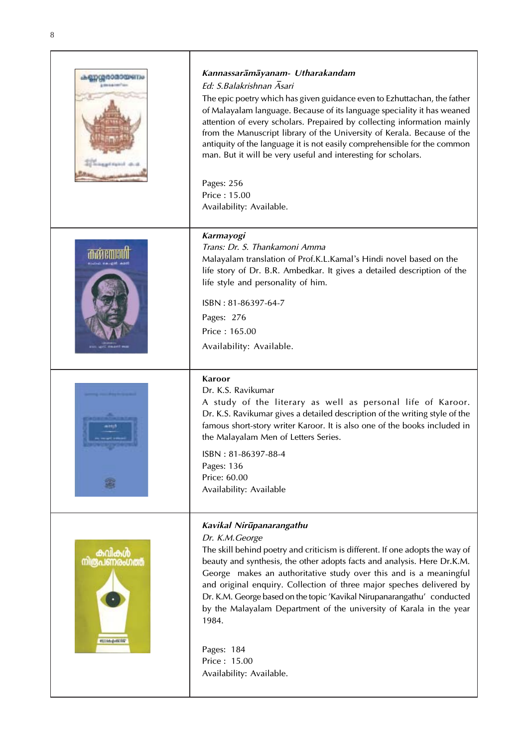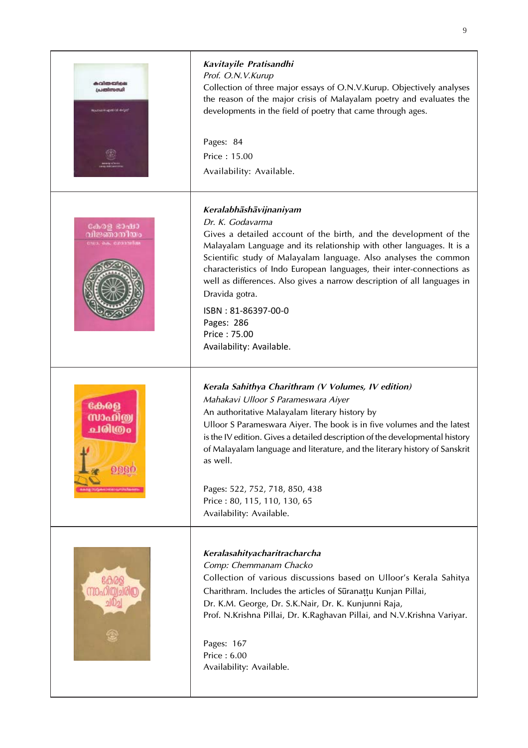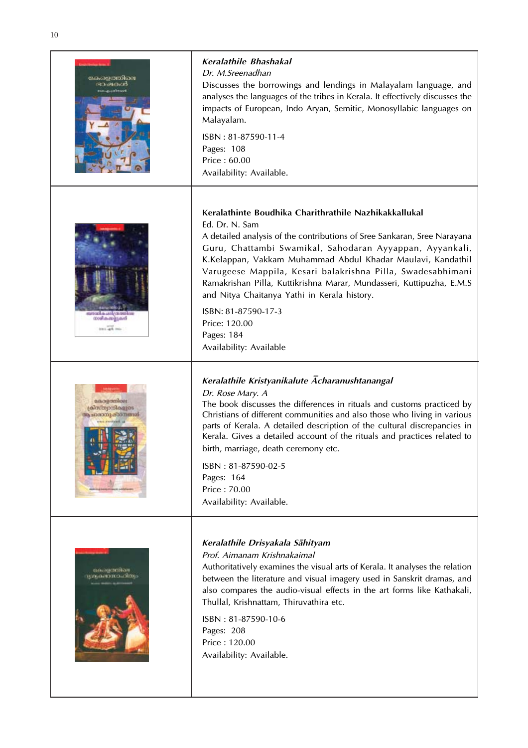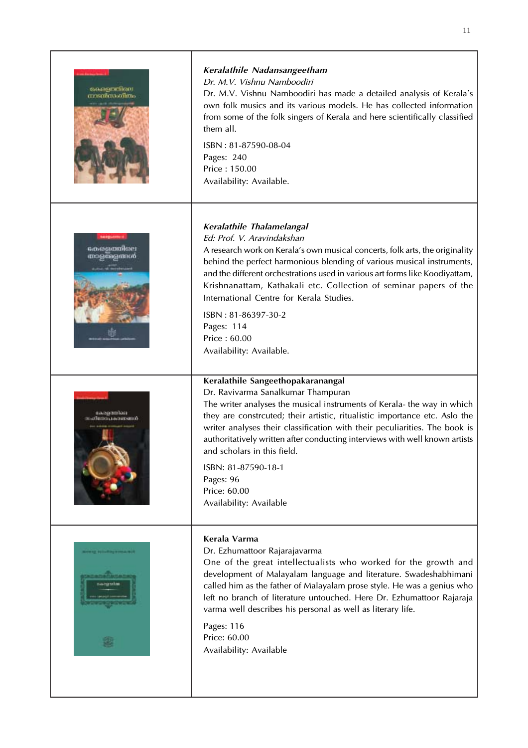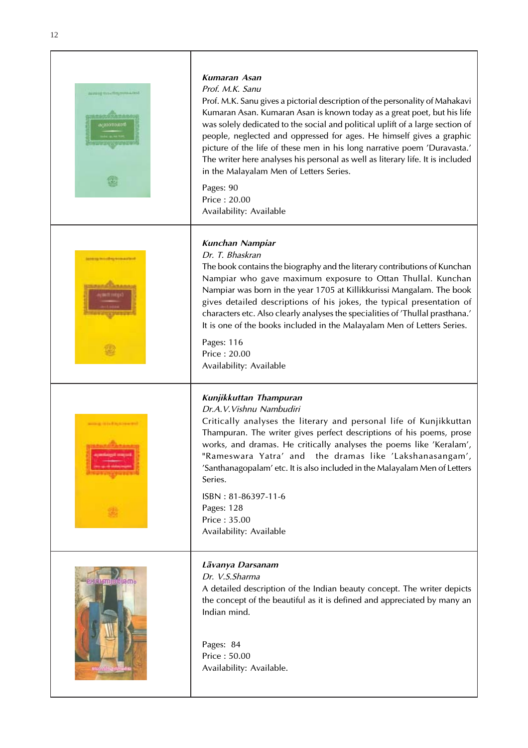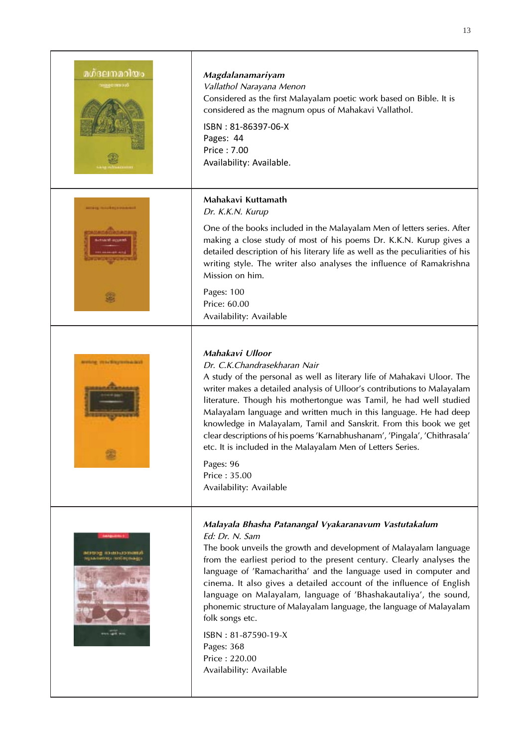| മഗ്ദലനമറിയം<br><b>COCHEEDING</b>                      | Magdalanamariyam<br>Vallathol Narayana Menon<br>Considered as the first Malayalam poetic work based on Bible. It is<br>considered as the magnum opus of Mahakavi Vallathol.<br>ISBN: 81-86397-06-X<br>Pages: 44<br>Price: 7.00<br>Availability: Available.                                                                                                                                                                                                                                                                                                                                                                 |
|-------------------------------------------------------|----------------------------------------------------------------------------------------------------------------------------------------------------------------------------------------------------------------------------------------------------------------------------------------------------------------------------------------------------------------------------------------------------------------------------------------------------------------------------------------------------------------------------------------------------------------------------------------------------------------------------|
|                                                       | Mahakavi Kuttamath<br>Dr. K.K.N. Kurup<br>One of the books included in the Malayalam Men of letters series. After<br>making a close study of most of his poems Dr. K.K.N. Kurup gives a<br>detailed description of his literary life as well as the peculiarities of his<br>writing style. The writer also analyses the influence of Ramakrishna<br>Mission on him.<br>Pages: 100<br>Price: 60.00<br>Availability: Available                                                                                                                                                                                               |
| neware the foreign entrances                          | Mahakavi Ulloor<br>Dr. C.K.Chandrasekharan Nair<br>A study of the personal as well as literary life of Mahakavi Uloor. The<br>writer makes a detailed analysis of Ulloor's contributions to Malayalam<br>literature. Though his mothertongue was Tamil, he had well studied<br>Malayalam language and written much in this language. He had deep<br>knowledge in Malayalam, Tamil and Sanskrit. From this book we get<br>clear descriptions of his poems 'Karnabhushanam', 'Pingala', 'Chithrasala'<br>etc. It is included in the Malayalam Men of Letters Series.<br>Pages: 96<br>Price: 35.00<br>Availability: Available |
| <b>NUMBER OF STREET</b><br><b>HENNINGER HOUSENDER</b> | Malayala Bhasha Patanangal Vyakaranavum Vastutakalum<br>Ed: Dr. N. Sam<br>The book unveils the growth and development of Malayalam language<br>from the earliest period to the present century. Clearly analyses the<br>language of 'Ramacharitha' and the language used in computer and<br>cinema. It also gives a detailed account of the influence of English<br>language on Malayalam, language of 'Bhashakautaliya', the sound,<br>phonemic structure of Malayalam language, the language of Malayalam<br>folk songs etc.<br>ISBN: 81-87590-19-X<br>Pages: 368<br>Price: 220.00<br>Availability: Available            |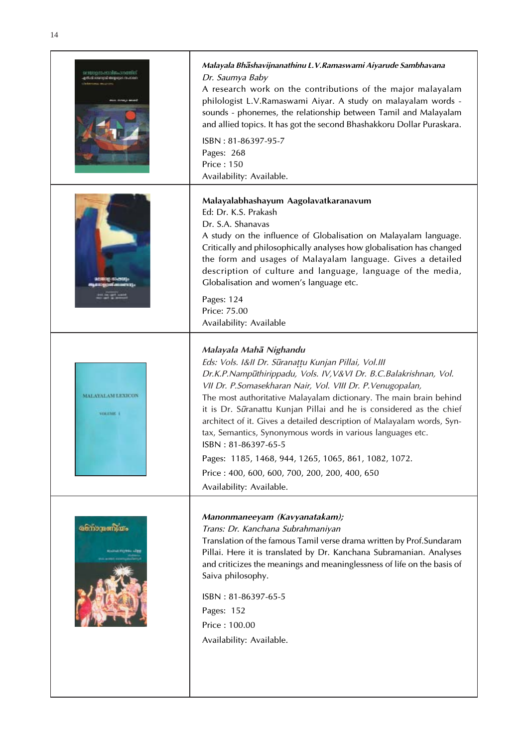







| Malayala Bhashavijnanathinu L.V.Ramaswami Aiyarude Sambhavana                                                                                                                                                                                                                                                                                                                                           |
|---------------------------------------------------------------------------------------------------------------------------------------------------------------------------------------------------------------------------------------------------------------------------------------------------------------------------------------------------------------------------------------------------------|
| Dr. Saumya Baby                                                                                                                                                                                                                                                                                                                                                                                         |
| A research work on the contributions of the major malayalam<br>philologist L.V.Ramaswami Aiyar. A study on malayalam words -<br>sounds - phonemes, the relationship between Tamil and Malayalam<br>and allied topics. It has got the second Bhashakkoru Dollar Puraskara.                                                                                                                               |
| $ISBN: 81-86397-95-7$                                                                                                                                                                                                                                                                                                                                                                                   |
| Pages: 268                                                                                                                                                                                                                                                                                                                                                                                              |
| <b>Price: 150</b>                                                                                                                                                                                                                                                                                                                                                                                       |
| Availability: Available.                                                                                                                                                                                                                                                                                                                                                                                |
| Malayalabhashayum Aagolavatkaranavum<br>Ed: Dr. K.S. Prakash<br>Dr. S.A. Shanavas<br>A study on the influence of Globalisation on Malayalam language.<br>Critically and philosophically analyses how globalisation has changed<br>the form and usages of Malayalam language. Gives a detailed<br>description of culture and language, language of the media,<br>Globalisation and women's language etc. |
|                                                                                                                                                                                                                                                                                                                                                                                                         |

## *Malayala Mah° Nighandu*

*Eds: Vols. I&II Dr. S£rana∂∂u Kunjan Pillai, Vol.III Dr.K.P.Namp£thirippadu, Vols. IV,V&VI Dr. B.C.Balakrishnan, Vol. VII Dr. P.Somasekharan Nair, Vol. VIII Dr. P.Venugopalan,* The most authoritative Malayalam dictionary. The main brain behind it is Dr. Sūranattu Kunjan Pillai and he is considered as the chief architect of it. Gives a detailed description of Malayalam words, Syntax, Semantics, Synonymous words in various languages etc. ISBN : 81-86397-65-5 Pages: 1185, 1468, 944, 1265, 1065, 861, 1082, 1072. Price : 400, 600, 600, 700, 200, 200, 400, 650 Availability: Available.

## *Manonmaneeyam (Kavyanatakam);*

*Trans: Dr. Kanchana Subrahmaniyan*

Translation of the famous Tamil verse drama written by Prof.Sundaram Pillai. Here it is translated by Dr. Kanchana Subramanian. Analyses and criticizes the meanings and meaninglessness of life on the basis of Saiva philosophy.

ISBN : 81-86397-65-5 Pages: 152 Price : 100.00 Availability: Available.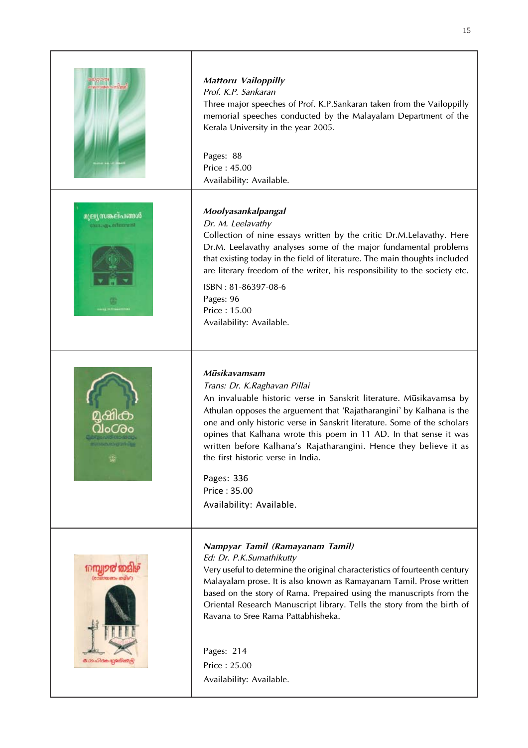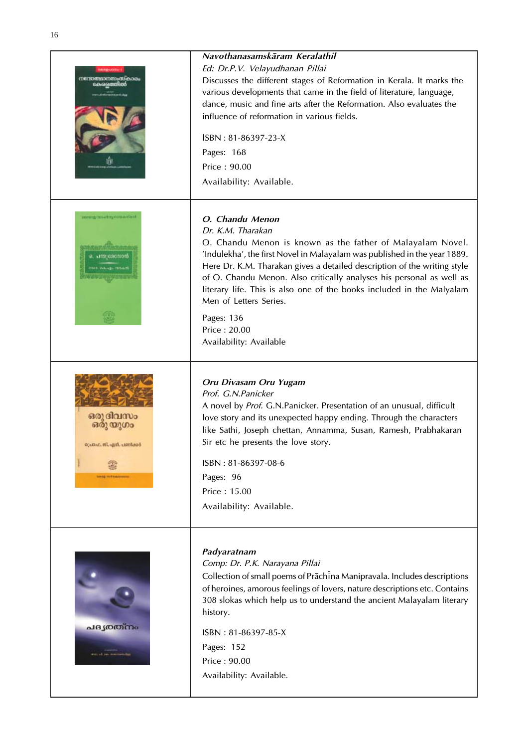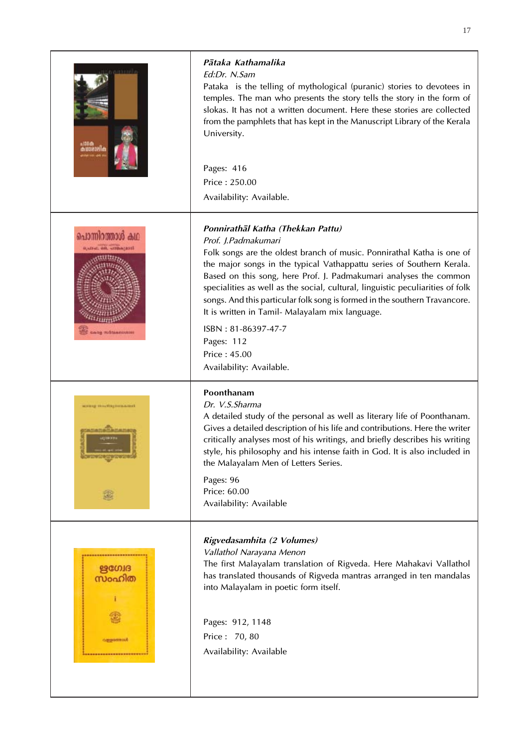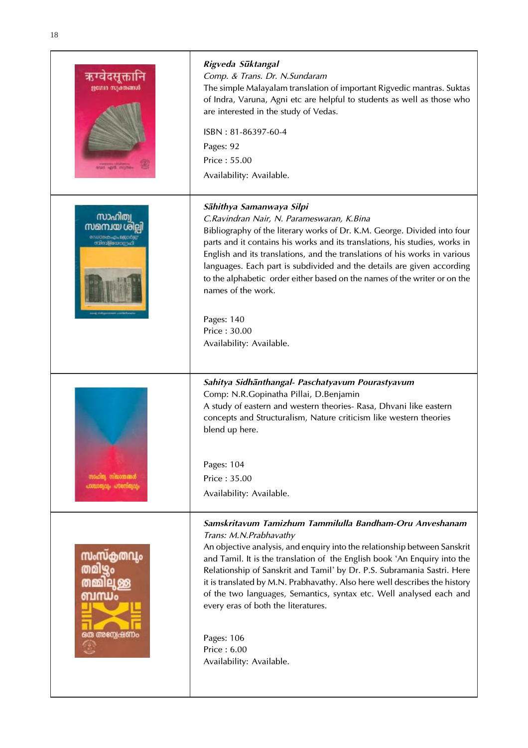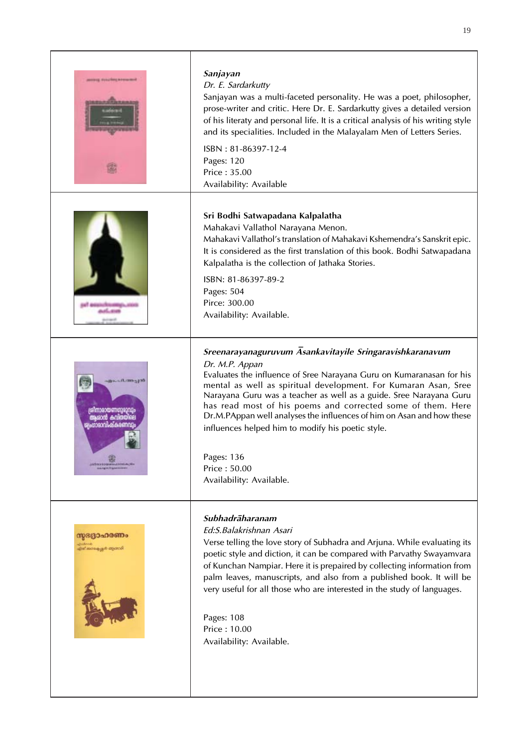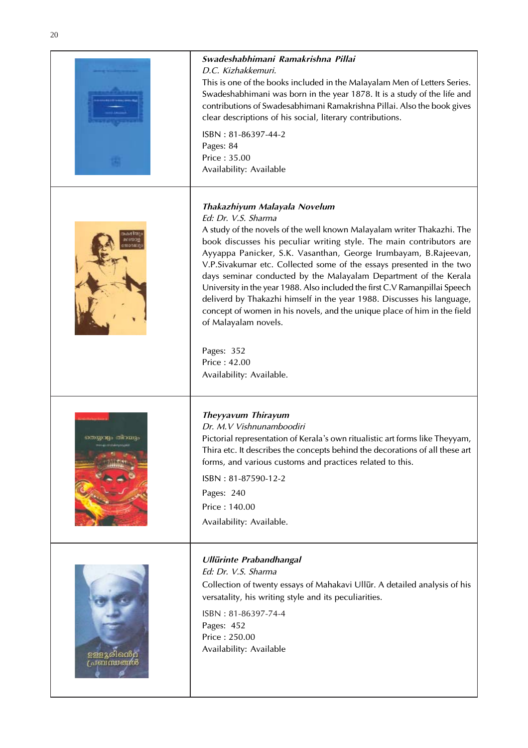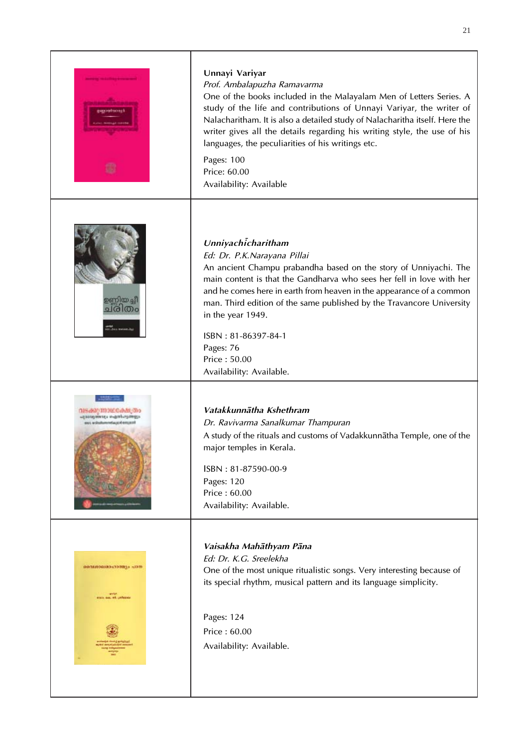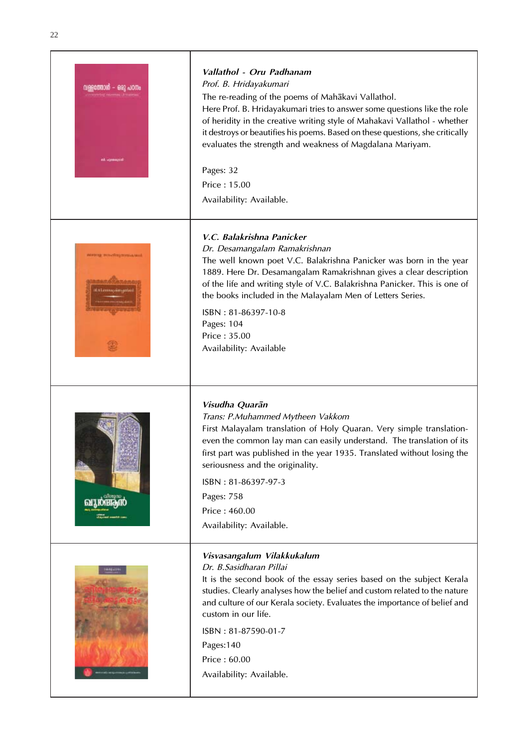